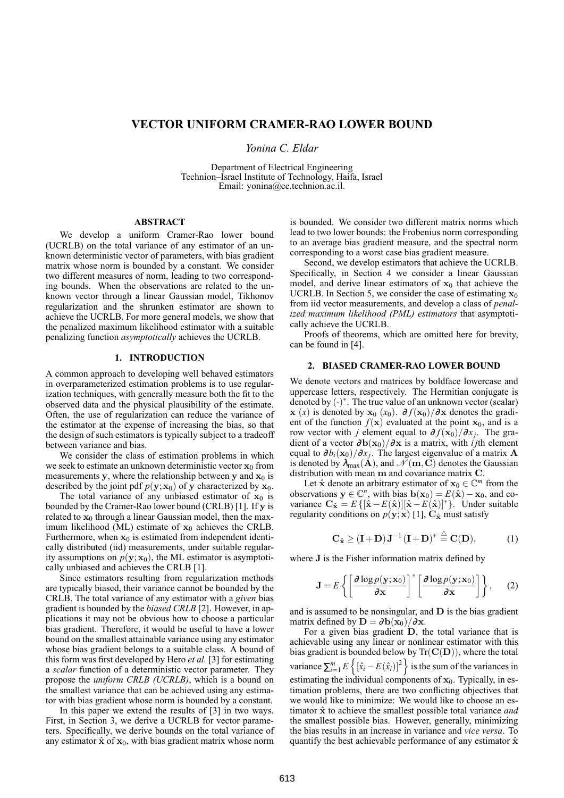# **VECTOR UNIFORM CRAMER-RAO LOWER BOUND**

*Yonina C. Eldar*

Department of Electrical Engineering Technion–Israel Institute of Technology, Haifa, Israel Email: yonina@ee.technion.ac.il.

### **ABSTRACT**

We develop a uniform Cramer-Rao lower bound (UCRLB) on the total variance of any estimator of an unknown deterministic vector of parameters, with bias gradient matrix whose norm is bounded by a constant. We consider two different measures of norm, leading to two corresponding bounds. When the observations are related to the unknown vector through a linear Gaussian model, Tikhonov regularization and the shrunken estimator are shown to achieve the UCRLB. For more general models, we show that the penalized maximum likelihood estimator with a suitable penalizing function *asymptotically* achieves the UCRLB.

## **1. INTRODUCTION**

A common approach to developing well behaved estimators in overparameterized estimation problems is to use regularization techniques, with generally measure both the fit to the observed data and the physical plausibility of the estimate. Often, the use of regularization can reduce the variance of the estimator at the expense of increasing the bias, so that the design of such estimators is typically subject to a tradeoff between variance and bias.

We consider the class of estimation problems in which we seek to estimate an unknown deterministic vector  $x_0$  from measurements y, where the relationship between y and  $x_0$  is described by the joint pdf  $p(y; x_0)$  of y characterized by  $x_0$ .

The total variance of any unbiased estimator of  $x_0$  is bounded by the Cramer-Rao lower bound (CRLB) [1]. If y is related to  $x_0$  through a linear Gaussian model, then the maximum likelihood (ML) estimate of  $x_0$  achieves the CRLB. Furthermore, when  $x_0$  is estimated from independent identically distributed (iid) measurements, under suitable regularity assumptions on  $p(y; x_0)$ , the ML estimator is asymptotically unbiased and achieves the CRLB [1].

Since estimators resulting from regularization methods are typically biased, their variance cannot be bounded by the CRLB. The total variance of any estimator with a *given* bias gradient is bounded by the *biased CRLB* [2]. However, in applications it may not be obvious how to choose a particular bias gradient. Therefore, it would be useful to have a lower bound on the smallest attainable variance using any estimator whose bias gradient belongs to a suitable class. A bound of this form was first developed by Hero *et al.* [3] for estimating a *scalar* function of a deterministic vector parameter. They propose the *uniform CRLB (UCRLB)*, which is a bound on the smallest variance that can be achieved using any estimator with bias gradient whose norm is bounded by a constant.

In this paper we extend the results of [3] in two ways. First, in Section 3, we derive a UCRLB for vector parameters. Specifically, we derive bounds on the total variance of any estimator  $\hat{\mathbf{x}}$  of  $\mathbf{x}_0$ , with bias gradient matrix whose norm is bounded. We consider two different matrix norms which lead to two lower bounds: the Frobenius norm corresponding to an average bias gradient measure, and the spectral norm corresponding to a worst case bias gradient measure.

Second, we develop estimators that achieve the UCRLB. Specifically, in Section 4 we consider a linear Gaussian model, and derive linear estimators of  $x_0$  that achieve the UCRLB. In Section 5, we consider the case of estimating  $x_0$ from iid vector measurements, and develop a class of *penalized maximum likelihood (PML) estimators* that asymptotically achieve the UCRLB.

Proofs of theorems, which are omitted here for brevity, can be found in [4].

#### **2. BIASED CRAMER-RAO LOWER BOUND**

We denote vectors and matrices by boldface lowercase and uppercase letters, respectively. The Hermitian conjugate is denoted by  $(\cdot)^*$ . The true value of an unknown vector (scalar)  $\mathbf{x}$  (*x*) is denoted by  $\mathbf{x}_0$  (*x*<sub>0</sub>). ∂ *f*( $\mathbf{x}_0$ )/∂**x** denotes the gradient of the function  $f(x)$  evaluated at the point  $x_0$ , and is a row vector with *j* element equal to  $\partial f(\mathbf{x}_0)/\partial x_i$ . The gradient of a vector <sup>∂</sup>b(x0)/∂x is a matrix, with *i j*th element equal to  $\partial b_i(\mathbf{x}_0)/\partial x_j$ . The largest eigenvalue of a matrix **A** is denoted by  $\lambda_{\max}(\mathbf{A})$ , and  $\mathcal{N}(\mathbf{m},\mathbf{C})$  denotes the Gaussian distribution with mean m and covariance matrix C.

Let  $\hat{\mathbf{x}}$  denote an arbitrary estimator of  $\mathbf{x}_0 \in \mathbb{C}^m$  from the observations  $y \in \mathbb{C}^n$ , with bias  $b(x_0) = E(\hat{x}) - x_0$ , and covariance  $C_{\hat{x}} = E\{[\hat{x} - E(\hat{x})][\hat{x} - E(\hat{x})]^* \}$ . Under suitable regularity conditions on  $p(y; x)$  [1],  $C_x$  must satisfy

$$
\mathbf{C}_{\hat{\mathbf{x}}} \geq (\mathbf{I} + \mathbf{D})\mathbf{J}^{-1}(\mathbf{I} + \mathbf{D})^* \stackrel{\triangle}{=} \mathbf{C}(\mathbf{D}), \tag{1}
$$

where **J** is the Fisher information matrix defined by

$$
\mathbf{J} = E\left\{ \left[ \frac{\partial \log p(\mathbf{y}; \mathbf{x}_0)}{\partial \mathbf{x}} \right]^* \left[ \frac{\partial \log p(\mathbf{y}; \mathbf{x}_0)}{\partial \mathbf{x}} \right] \right\},\qquad(2)
$$

and is assumed to be nonsingular, and D is the bias gradient matrix defined by  $\mathbf{D} = \partial \mathbf{b}(\mathbf{x}_0)/\partial \mathbf{x}$ .

For a given bias gradient  $D$ , the total variance that is achievable using any linear or nonlinear estimator with this bias gradient is bounded below by  $\text{Tr}(\mathbf{C}(\mathbf{D}))$ , where the total variance  $\sum_{i=1}^{m} E\left\{ [\hat{x}_i - E(\hat{x}_i)]^2 \right\}$  is the sum of the variances in estimating the individual components of  $x_0$ . Typically, in estimation problems, there are two conflicting objectives that we would like to minimize: We would like to choose an estimator  $\hat{x}$  to achieve the smallest possible total variance *and* the smallest possible bias. However, generally, minimizing the bias results in an increase in variance and *vice versa*. To quantify the best achievable performance of any estimator  $\hat{x}$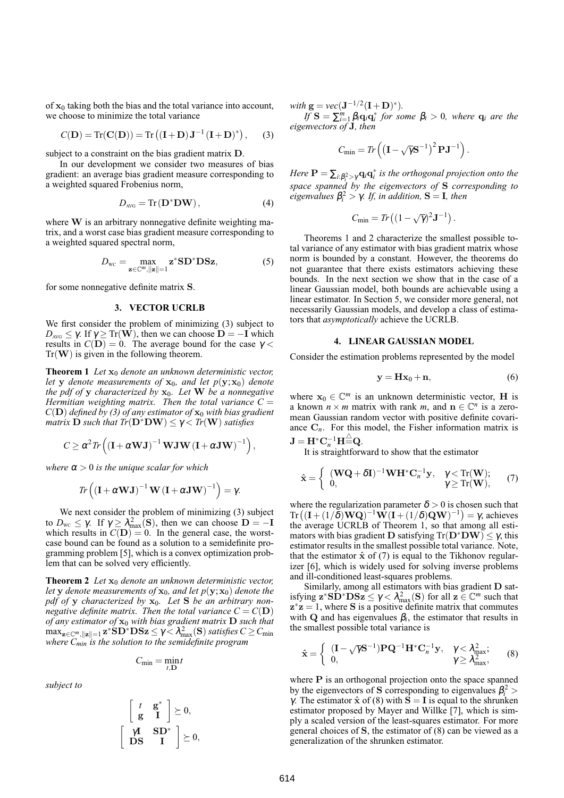of  $x_0$  taking both the bias and the total variance into account, we choose to minimize the total variance

$$
C(\mathbf{D}) = \text{Tr}(\mathbf{C}(\mathbf{D})) = \text{Tr}((\mathbf{I} + \mathbf{D})\mathbf{J}^{-1}(\mathbf{I} + \mathbf{D})^*), \quad (3)
$$

subject to a constraint on the bias gradient matrix D.

In our development we consider two measures of bias gradient: an average bias gradient measure corresponding to a weighted squared Frobenius norm,

$$
D_{\text{AVG}} = \text{Tr}(\mathbf{D}^* \mathbf{D} \mathbf{W}), \tag{4}
$$

where W is an arbitrary nonnegative definite weighting matrix, and a worst case bias gradient measure corresponding to a weighted squared spectral norm,

$$
D_{\rm wc} = \max_{\mathbf{z} \in \mathbb{C}^m, \|\mathbf{z}\| = 1} \mathbf{z}^* \mathbf{SD}^* \mathbf{DSz},\tag{5}
$$

for some nonnegative definite matrix S.

#### **3. VECTOR UCRLB**

We first consider the problem of minimizing (3) subject to  $D_{\text{AVG}} \leq \gamma$ . If  $\gamma \geq \text{Tr}(\mathbf{W})$ , then we can choose  $\mathbf{D} = -\mathbf{I}$  which results in  $C(D) = 0$ . The average bound for the case  $\gamma$  $Tr(\mathbf{W})$  is given in the following theorem.

**Theorem 1** *Let*  $\mathbf{x}_0$  *denote an unknown deterministic vector, let* **y** *denote measurements of*  $x_0$ *, and let*  $p(y; x_0)$  *denote the pdf of* y *characterized by* x0*. Let* W *be a nonnegative Hermitian weighting matrix. Then the total variance*  $C =$  $C(D)$  *defined by (3) of any estimator of*  $x_0$  *with bias gradient matrix* **D** *such that*  $Tr(D^*DW) \leq \gamma < Tr(W)$  *satisfies* 

$$
C \geq \alpha^2 \text{Tr}\left( \left( \mathbf{I} + \alpha \mathbf{W} \mathbf{J} \right)^{-1} \mathbf{W} \mathbf{J} \mathbf{W} \left( \mathbf{I} + \alpha \mathbf{J} \mathbf{W} \right)^{-1} \right),\,
$$

*where*  $\alpha > 0$  *is the unique scalar for which* 

$$
\text{Tr}\left(\left(\mathbf{I} + \alpha \mathbf{W} \mathbf{J}\right)^{-1} \mathbf{W}\left(\mathbf{I} + \alpha \mathbf{J} \mathbf{W}\right)^{-1}\right) = \gamma.
$$

We next consider the problem of minimizing (3) subject to  $D_{\text{wc}} \leq \gamma$ . If  $\gamma \geq \lambda_{\text{max}}^2(S)$ , then we can choose  $D = -I$ which results in  $C(D) = 0$ . In the general case, the worstcase bound can be found as a solution to a semidefinite programming problem [5], which is a convex optimization problem that can be solved very efficiently.

**Theorem 2** *Let*  $x_0$  *denote an unknown deterministic vector*, *let* **y** *denote measurements of*  $\mathbf{x}_0$ *, and let*  $p(\mathbf{y}; \mathbf{x}_0)$  *denote the pdf of* y *characterized by* x0*. Let* S *be an arbitrary nonnegative definite matrix. Then the total variance*  $C = C(D)$ *of any estimator of* x<sup>0</sup> *with bias gradient matrix* D *such that*  $\max_{\mathbf{z}\in\mathbb{C}^m,\|\mathbf{z}\|=1} \mathbf{z}^* \mathbf{S} \mathbf{D}^* \mathbf{D} \mathbf{S} \mathbf{z} \leq \gamma < \lambda_{\max}^2(\mathbf{S})$  *satisfies*  $C\geq C_{\min}$ *where Cmin is the solution to the semidefinite program*

$$
C_{\min} = \min_{t,\mathbf{D}} t
$$

*subject to*

$$
\left[\begin{array}{cc} t & \mathbf{g}^* \\ \mathbf{g} & \mathbf{I} \end{array}\right] \succeq 0,
$$

$$
\left[\begin{array}{cc} \gamma \mathbf{I} & \mathbf{S} \mathbf{D}^* \\ \mathbf{DS} & \mathbf{I} \end{array}\right] \succeq 0,
$$

*with*  $g = vec(J^{-1/2}(I+D)^*)$ .

 $\hat{H}$  **S** =  $\sum_{i=1}^{m} \beta_i \mathbf{q}_i \mathbf{q}_i^*$  *for some*  $\beta_i > 0$ *, where*  $\mathbf{q}_i$  *are the eigenvectors of* J*, then*

$$
C_{\min} = Tr\left(\left(\mathbf{I} - \sqrt{\gamma} \mathbf{S}^{-1}\right)^2 \mathbf{P} \mathbf{J}^{-1}\right).
$$

*Here*  $P = \sum_{i:\beta_i^2 > \gamma} q_i q_i^*$  *is the orthogonal projection onto the space spanned by the eigenvectors of* S *corresponding to*  $eigenvalues \beta_i^2 > \gamma$ . *If, in addition*, **S** = **I***, then* 

$$
C_{\min} = Tr\left((1-\sqrt{\gamma})^2 \mathbf{J}^{-1}\right).
$$

Theorems 1 and 2 characterize the smallest possible total variance of any estimator with bias gradient matrix whose norm is bounded by a constant. However, the theorems do not guarantee that there exists estimators achieving these bounds. In the next section we show that in the case of a linear Gaussian model, both bounds are achievable using a linear estimator. In Section 5, we consider more general, not necessarily Gaussian models, and develop a class of estimators that *asymptotically* achieve the UCRLB.

#### **4. LINEAR GAUSSIAN MODEL**

Consider the estimation problems represented by the model

$$
y = Hx_0 + n,\t\t(6)
$$

where  $x_0 \in \mathbb{C}^m$  is an unknown deterministic vector, **H** is a known  $n \times m$  matrix with rank  $m$ , and  $n \in \mathbb{C}^n$  is a zeromean Gaussian random vector with positive definite covariance  $C_n$ . For this model, the Fisher information matrix is  $\mathbf{J} = \mathbf{H}^* \mathbf{C}_n^{-1} \mathbf{H} \hat{=} \mathbf{Q}.$ 

It is straightforward to show that the estimator

$$
\hat{\mathbf{x}} = \begin{cases}\n\left(\mathbf{WQ} + \delta \mathbf{I}\right)^{-1} \mathbf{W} \mathbf{H}^* \mathbf{C}_n^{-1} \mathbf{y}, & \gamma < \text{Tr}(\mathbf{W}); \\
0, & \gamma \ge \text{Tr}(\mathbf{W}),\n\end{cases} (7)
$$

where the regularization parameter  $\delta > 0$  is chosen such that where the regularization parameter  $\delta > 0$  is chosen such that<br>Tr $((I+(1/\delta)WQ)^{-1}W(I+(1/\delta)QW)^{-1}) = \gamma$ , achieves the average UCRLB of Theorem 1, so that among all estimators with bias gradient D satisfying  $Tr(D^*DW) \leq \gamma$ , this estimator results in the smallest possible total variance. Note, that the estimator  $\hat{x}$  of (7) is equal to the Tikhonov regularizer [6], which is widely used for solving inverse problems and ill-conditioned least-squares problems.

Similarly, among all estimators with bias gradient D satisfying  $z^*SD^*DSz \leq \gamma < \lambda_{max}^2(S)$  for all  $z \in \mathbb{C}^m$  such that  $z^*z = 1$ , where S is a positive definite matrix that commutes with Q and has eigenvalues  $\beta_i$ , the estimator that results in the smallest possible total variance is

$$
\hat{\mathbf{x}} = \begin{cases}\n(\mathbf{I} - \sqrt{\gamma} \mathbf{S}^{-1}) \mathbf{P} \mathbf{Q}^{-1} \mathbf{H}^* \mathbf{C}_n^{-1} \mathbf{y}, & \gamma < \lambda_{\text{max}}^2; \\
0, & \gamma \ge \lambda_{\text{max}}^2,\n\end{cases}
$$
\n(8)

where **P** is an orthogonal projection onto the space spanned by the eigenvectors of **S** corresponding to eigenvalues  $\beta_i^2$  > γ. The estimator  $\hat{\mathbf{x}}$  of (8) with  $\hat{\mathbf{S}} = \mathbf{I}$  is equal to the shrunken estimator proposed by Mayer and Willke [7], which is simply a scaled version of the least-squares estimator. For more general choices of  $S$ , the estimator of  $(8)$  can be viewed as a generalization of the shrunken estimator.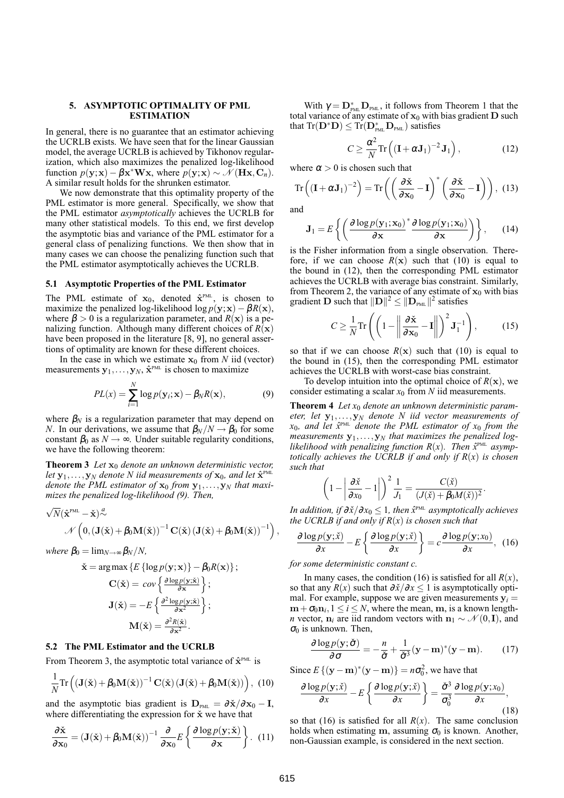#### **5. ASYMPTOTIC OPTIMALITY OF PML ESTIMATION**

In general, there is no guarantee that an estimator achieving the UCRLB exists. We have seen that for the linear Gaussian model, the average UCRLB is achieved by Tikhonov regularization, which also maximizes the penalized log-likelihood function  $p(\mathbf{y}; \mathbf{x}) - \beta \mathbf{x}^* \mathbf{W} \mathbf{x}$ , where  $p(\mathbf{y}; \mathbf{x}) \sim \mathcal{N}(\mathbf{H} \mathbf{x}, \mathbf{C}_n)$ . A similar result holds for the shrunken estimator.

We now demonstrate that this optimality property of the PML estimator is more general. Specifically, we show that the PML estimator *asymptotically* achieves the UCRLB for many other statistical models. To this end, we first develop the asymptotic bias and variance of the PML estimator for a general class of penalizing functions. We then show that in many cases we can choose the penalizing function such that the PML estimator asymptotically achieves the UCRLB.

### **5.1 Asymptotic Properties of the PML Estimator**

The PML estimate of  $x_0$ , denoted  $\hat{x}^{\text{PML}}$ , is chosen to maximize the penalized log-likelihood log  $p(y; x) - \beta R(x)$ , where  $\beta > 0$  is a regularization parameter, and  $R(x)$  is a penalizing function. Although many different choices of  $R(x)$ have been proposed in the literature [8, 9], no general assertions of optimality are known for these different choices.

In the case in which we estimate  $x_0$  from *N* iid (vector) measurements  $y_1, \ldots, y_N$ ,  $\hat{x}^{\text{PML}}$  is chosen to maximize

$$
PL(x) = \sum_{i=1}^{N} \log p(\mathbf{y}_i; \mathbf{x}) - \beta_N R(\mathbf{x}),
$$
\n(9)

where  $\beta_N$  is a regularization parameter that may depend on *N*. In our derivations, we assume that  $\beta_N/N \rightarrow \beta_0$  for some constant  $\beta_0$  as  $N \rightarrow \infty$ . Under suitable regularity conditions, we have the following theorem:

**Theorem 3** *Let*  $\mathbf{x}_0$  *denote an unknown deterministic vector, let*  $y_1, \ldots, y_N$  *denote* N *iid measurements of*  $x_0$ *, and let*  $\hat{x}^{\text{PML}}$ *denote the PML estimator of*  $x_0$  *from*  $y_1, \ldots, y_N$  *that maximizes the penalized log-likelihood (9). Then,*

$$
\begin{aligned} & \sqrt{N} ( \hat{\mathbf{x}}^{\text{PML}} - \check{\mathbf{x}} )^{\frac{a}{\sim}} \\ & \qquad \qquad \mathcal{N} \left( 0, (\mathbf{J}(\check{\mathbf{x}}) + \beta_0 \mathbf{M}(\check{\mathbf{x}}))^{-1} \mathbf{C}(\check{\mathbf{x}}) \left( \mathbf{J}(\check{\mathbf{x}}) + \beta_0 \mathbf{M}(\check{\mathbf{x}}) \right)^{-1} \right) \end{aligned}
$$

*where*  $\beta_0 = \lim_{N \to \infty} \frac{\beta_N}{N}$ ,

$$
\dot{\mathbf{x}} = \arg \max \left\{ E \left\{ \log p(\mathbf{y}; \mathbf{x}) \right\} - \beta_0 R(\mathbf{x}) \right\};
$$

$$
\mathbf{C}(\dot{\mathbf{x}}) = \cos \left\{ \frac{\partial \log p(\mathbf{y}; \dot{\mathbf{x}})}{\partial \mathbf{x}} \right\};
$$

$$
\mathbf{J}(\dot{\mathbf{x}}) = -E \left\{ \frac{\partial^2 \log p(\mathbf{y}; \dot{\mathbf{x}})}{\partial \mathbf{x}^2} \right\};
$$

$$
\mathbf{M}(\dot{\mathbf{x}}) = \frac{\partial^2 R(\dot{\mathbf{x}})}{\partial \mathbf{x}^2}.
$$

## **5.2 The PML Estimator and the UCRLB**

From Theorem 3, the asymptotic total variance of  $\hat{\mathbf{x}}^{\text{PML}}$  is

$$
\frac{1}{N}\mathrm{Tr}\left(\left(\mathbf{J}(\check{\mathbf{x}})+\beta_0\mathbf{M}(\check{\mathbf{x}})\right)^{-1}\mathbf{C}(\check{\mathbf{x}})\left(\mathbf{J}(\check{\mathbf{x}})+\beta_0\mathbf{M}(\check{\mathbf{x}})\right)\right),\ (10)
$$

and the asymptotic bias gradient is  $D_{PML} = \frac{\partial \dot{x}}{\partial x_0} - I$ , where differentiating the expression for  $\dot{x}$  we have that

$$
\frac{\partial \check{\mathbf{x}}}{\partial \mathbf{x}_0} = (\mathbf{J}(\check{\mathbf{x}}) + \beta_0 \mathbf{M}(\check{\mathbf{x}}))^{-1} \frac{\partial}{\partial \mathbf{x}_0} E\left\{ \frac{\partial \log p(\mathbf{y}; \check{\mathbf{x}})}{\partial \mathbf{x}} \right\}.
$$
 (11)

With  $\gamma = \mathbf{D}_{\text{PML}}^* \mathbf{D}_{\text{PML}}$ , it follows from Theorem 1 that the total variance of any estimate of  $x_0$  with bias gradient **D** such that  $Tr(\mathbf{D}^*\mathbf{D}) \leq Tr(\mathbf{D}_{\text{PML}}^*\mathbf{D}_{\text{PML}})$  satisfies

$$
C \ge \frac{\alpha^2}{N} \text{Tr}\left( \left( \mathbf{I} + \alpha \mathbf{J}_1 \right)^{-2} \mathbf{J}_1 \right),\tag{12}
$$

where  $\alpha > 0$  is chosen such that

Tr 
$$
\left( (\mathbf{I} + \alpha \mathbf{J}_1)^{-2} \right) = \text{Tr} \left( \left( \frac{\partial \check{\mathbf{x}}}{\partial \mathbf{x}_0} - \mathbf{I} \right)^* \left( \frac{\partial \check{\mathbf{x}}}{\partial \mathbf{x}_0} - \mathbf{I} \right) \right), (13)
$$

and

$$
\mathbf{J}_1 = E\left\{ \left( \frac{\partial \log p(\mathbf{y}_1; \mathbf{x}_0)}{\partial \mathbf{x}}^* \frac{\partial \log p(\mathbf{y}_1; \mathbf{x}_0)}{\partial \mathbf{x}} \right) \right\},\qquad(14)
$$

is the Fisher information from a single observation. Therefore, if we can choose  $R(x)$  such that (10) is equal to the bound in (12), then the corresponding PML estimator achieves the UCRLB with average bias constraint. Similarly, from Theorem 2, the variance of any estimate of  $x_0$  with bias gradient **D** such that  $||\mathbf{D}||^2 \le ||\mathbf{D}_{PML}||^2$  satisfies !<br>}

$$
C \ge \frac{1}{N} \text{Tr} \left( \left( 1 - \left\| \frac{\partial \check{\mathbf{x}}}{\partial \mathbf{x}_0} - \mathbf{I} \right\| \right)^2 \mathbf{J}_1^{-1} \right), \quad (15)
$$

so that if we can choose  $R(x)$  such that (10) is equal to the bound in (15), then the corresponding PML estimator achieves the UCRLB with worst-case bias constraint.

To develop intuition into the optimal choice of  $R(x)$ , we consider estimating a scalar *x*<sup>0</sup> from *N* iid measurements.

**Theorem 4** *Let x*<sup>0</sup> *denote an unknown deterministic parameter, let* y1,...,y*<sup>N</sup> denote N iid vector measurements of x*0*, and let x*ˆ PML *denote the PML estimator of x*<sup>0</sup> *from the measurements*  $y_1, \ldots, y_N$  *that maximizes the penalized log*likelihood with penalizing function  $R(x)$ . Then  $\hat{x}^{\text{PML}}$  asymp*totically achieves the UCRLB if and only if R*(*x*) *is chosen such that*

$$
\left(1 - \left|\frac{\partial \check{x}}{\partial x_0} - 1\right|\right)^2 \frac{1}{J_1} = \frac{C(\check{x})}{(J(\check{x}) + \beta_0 M(\check{x}))^2}.
$$

*In addition, if*  $\partial \check{x}/\partial x_0 \leq 1$ *, then*  $\hat{x}^{\text{\tiny{PML}}}$  *asymptotically achieves the UCRLB if and only if R*(*x*) *is chosen such that*

$$
\frac{\partial \log p(\mathbf{y};\check{x})}{\partial x} - E\left\{\frac{\partial \log p(\mathbf{y};\check{x})}{\partial x}\right\} = c \frac{\partial \log p(\mathbf{y};x_0)}{\partial x}, \tag{16}
$$

*for some deterministic constant c.*

In many cases, the condition (16) is satisfied for all  $R(x)$ , so that any *R*(*x*) such that  $\partial \dot{x}/\partial x \le 1$  is asymptotically optimal. For example, suppose we are given measurements  $y_i =$  $m + \sigma_0 n_i$ ,  $1 \le i \le N$ , where the mean, m, is a known length*n* vector,  $n_i$  are iid random vectors with  $n_1 \sim \mathcal{N}(0, I)$ , and  $\sigma_0$  is unknown. Then,

$$
\frac{\partial \log p(\mathbf{y}; \check{\boldsymbol{\sigma}})}{\partial \boldsymbol{\sigma}} = -\frac{n}{\check{\boldsymbol{\sigma}}} + \frac{1}{\check{\boldsymbol{\sigma}}^3} (\mathbf{y} - \mathbf{m})^* (\mathbf{y} - \mathbf{m}).
$$
 (17)

Since  $E\{(\mathbf{y}-\mathbf{m})^*(\mathbf{y}-\mathbf{m})\} = n\sigma_0^2$ , we have that

$$
\frac{\partial \log p(\mathbf{y};\check{x})}{\partial x} - E\left\{\frac{\partial \log p(\mathbf{y};\check{x})}{\partial x}\right\} = \frac{\check{\sigma}^3}{\sigma_0^3} \frac{\partial \log p(\mathbf{y};x_0)}{\partial x},\tag{18}
$$

so that (16) is satisfied for all  $R(x)$ . The same conclusion holds when estimating m, assuming  $\sigma_0$  is known. Another, non-Gaussian example, is considered in the next section.

,